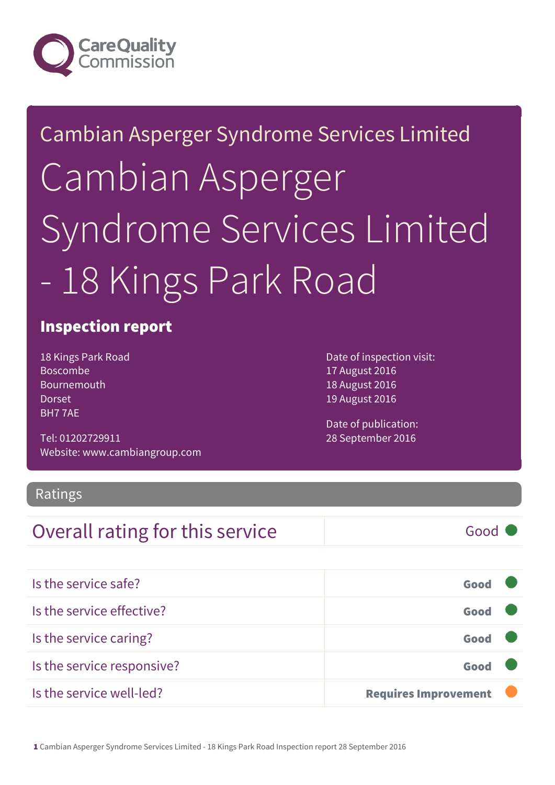

# Cambian Asperger Syndrome Services Limited Cambian Asperger Syndrome Services Limited - 18 Kings Park Road

### Inspection report

18 Kings Park Road Boscombe Bournemouth Dorset BH7 7AE

Tel: 01202729911 Website: www.cambiangroup.com Date of inspection visit: 17 August 2016 18 August 2016 19 August 2016

Date of publication: 28 September 2016

### Ratings

### **Overall rating for this service** and a service Good

| Is the service safe?       | Good                        |  |
|----------------------------|-----------------------------|--|
| Is the service effective?  | Good                        |  |
| Is the service caring?     | Good                        |  |
| Is the service responsive? | Good                        |  |
| Is the service well-led?   | <b>Requires Improvement</b> |  |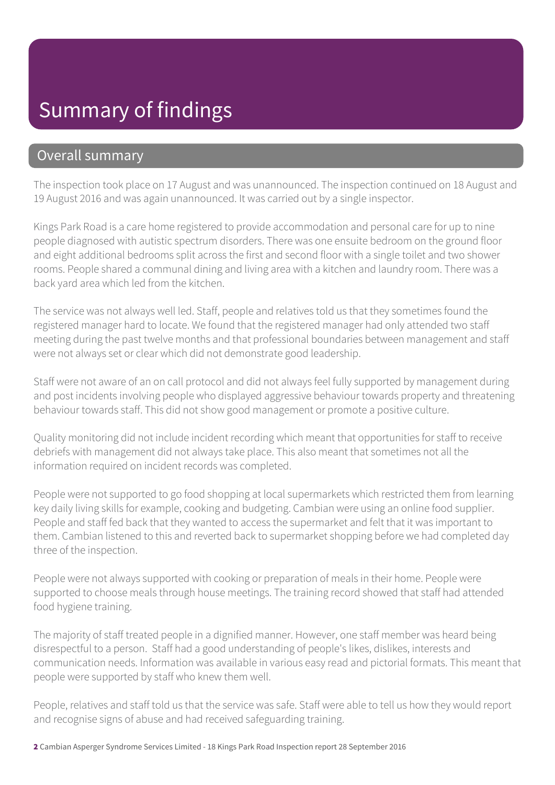## Summary of findings

### Overall summary

The inspection took place on 17 August and was unannounced. The inspection continued on 18 August and 19 August 2016 and was again unannounced. It was carried out by a single inspector.

Kings Park Road is a care home registered to provide accommodation and personal care for up to nine people diagnosed with autistic spectrum disorders. There was one ensuite bedroom on the ground floor and eight additional bedrooms split across the first and second floor with a single toilet and two shower rooms. People shared a communal dining and living area with a kitchen and laundry room. There was a back yard area which led from the kitchen.

The service was not always well led. Staff, people and relatives told us that they sometimes found the registered manager hard to locate. We found that the registered manager had only attended two staff meeting during the past twelve months and that professional boundaries between management and staff were not always set or clear which did not demonstrate good leadership.

Staff were not aware of an on call protocol and did not always feel fully supported by management during and post incidents involving people who displayed aggressive behaviour towards property and threatening behaviour towards staff. This did not show good management or promote a positive culture.

Quality monitoring did not include incident recording which meant that opportunities for staff to receive debriefs with management did not always take place. This also meant that sometimes not all the information required on incident records was completed.

People were not supported to go food shopping at local supermarkets which restricted them from learning key daily living skills for example, cooking and budgeting. Cambian were using an online food supplier. People and staff fed back that they wanted to access the supermarket and felt that it was important to them. Cambian listened to this and reverted back to supermarket shopping before we had completed day three of the inspection.

People were not always supported with cooking or preparation of meals in their home. People were supported to choose meals through house meetings. The training record showed that staff had attended food hygiene training.

The majority of staff treated people in a dignified manner. However, one staff member was heard being disrespectful to a person. Staff had a good understanding of people's likes, dislikes, interests and communication needs. Information was available in various easy read and pictorial formats. This meant that people were supported by staff who knew them well.

People, relatives and staff told us that the service was safe. Staff were able to tell us how they would report and recognise signs of abuse and had received safeguarding training.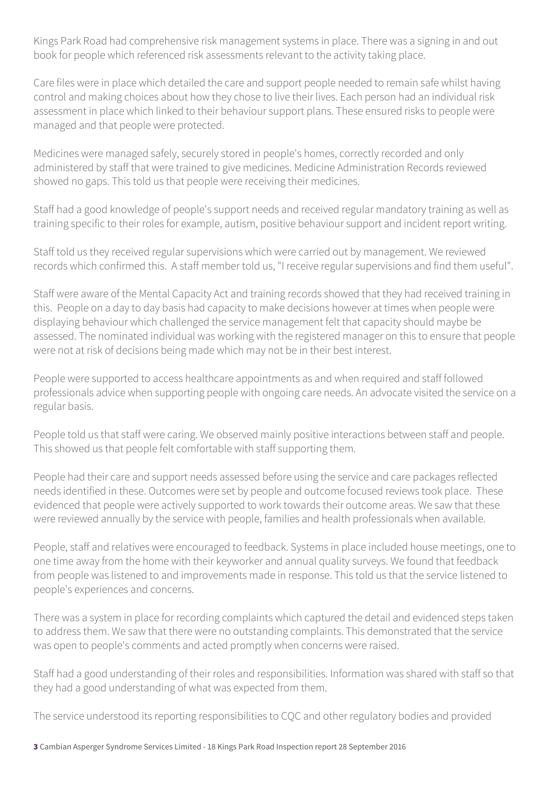Kings Park Road had comprehensive risk management systems in place. There was a signing in and out book for people which referenced risk assessments relevant to the activity taking place.

Care files were in place which detailed the care and support people needed to remain safe whilst having control and making choices about how they chose to live their lives. Each person had an individual risk assessment in place which linked to their behaviour support plans. These ensured risks to people were managed and that people were protected.

Medicines were managed safely, securely stored in people's homes, correctly recorded and only administered by staff that were trained to give medicines. Medicine Administration Records reviewed showed no gaps. This told us that people were receiving their medicines.

Staff had a good knowledge of people's support needs and received regular mandatory training as well as training specific to their roles for example, autism, positive behaviour support and incident report writing.

Staff told us they received regular supervisions which were carried out by management. We reviewed records which confirmed this. A staff member told us, "I receive regular supervisions and find them useful".

Staff were aware of the Mental Capacity Act and training records showed that they had received training in this. People on a day to day basis had capacity to make decisions however at times when people were displaying behaviour which challenged the service management felt that capacity should maybe be assessed. The nominated individual was working with the registered manager on this to ensure that people were not at risk of decisions being made which may not be in their best interest.

People were supported to access healthcare appointments as and when required and staff followed professionals advice when supporting people with ongoing care needs. An advocate visited the service on a regular basis.

People told us that staff were caring. We observed mainly positive interactions between staff and people. This showed us that people felt comfortable with staff supporting them.

People had their care and support needs assessed before using the service and care packages reflected needs identified in these. Outcomes were set by people and outcome focused reviews took place. These evidenced that people were actively supported to work towards their outcome areas. We saw that these were reviewed annually by the service with people, families and health professionals when available.

People, staff and relatives were encouraged to feedback. Systems in place included house meetings, one to one time away from the home with their keyworker and annual quality surveys. We found that feedback from people was listened to and improvements made in response. This told us that the service listened to people's experiences and concerns.

There was a system in place for recording complaints which captured the detail and evidenced steps taken to address them. We saw that there were no outstanding complaints. This demonstrated that the service was open to people's comments and acted promptly when concerns were raised.

Staff had a good understanding of their roles and responsibilities. Information was shared with staff so that they had a good understanding of what was expected from them.

The service understood its reporting responsibilities to CQC and other regulatory bodies and provided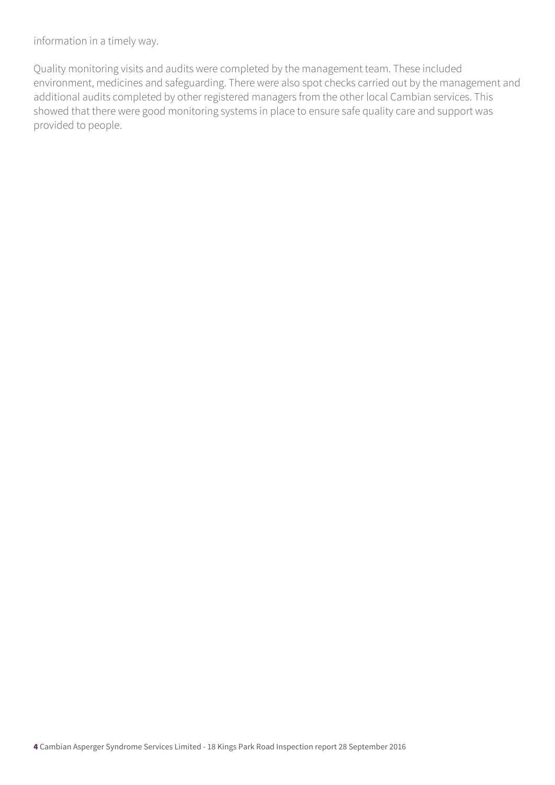information in a timely way.

Quality monitoring visits and audits were completed by the management team. These included environment, medicines and safeguarding. There were also spot checks carried out by the management and additional audits completed by other registered managers from the other local Cambian services. This showed that there were good monitoring systems in place to ensure safe quality care and support was provided to people.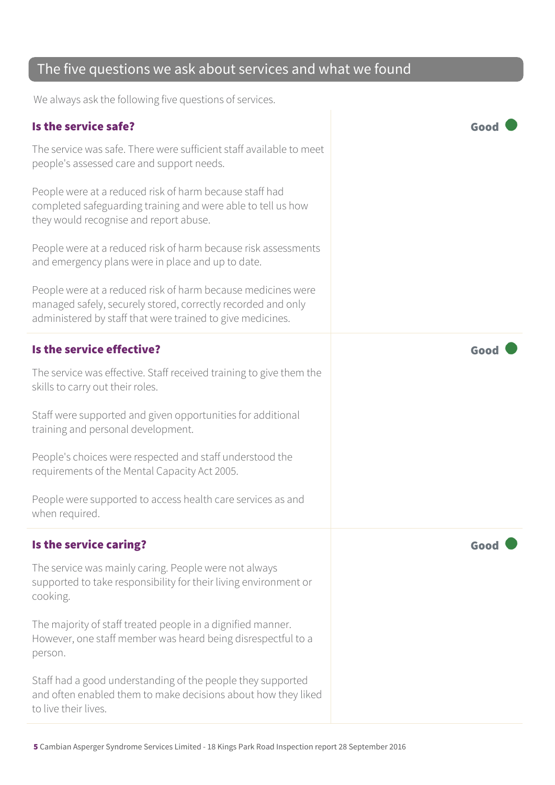### The five questions we ask about services and what we found

We always ask the following five questions of services.

### Is the service safe? Good

The service was safe. There were sufficient staff available to meet people's assessed care and support needs.

People were at a reduced risk of harm because staff had completed safeguarding training and were able to tell us how they would recognise and report abuse.

People were at a reduced risk of harm because risk assessments and emergency plans were in place and up to date.

People were at a reduced risk of harm because medicines were managed safely, securely stored, correctly recorded and only administered by staff that were trained to give medicines.

#### Is the service effective? Good

The service was effective. Staff received training to give them the skills to carry out their roles.

Staff were supported and given opportunities for additional training and personal development.

People's choices were respected and staff understood the requirements of the Mental Capacity Act 2005.

People were supported to access health care services as and when required.

#### Is the service caring? The service caring?

The service was mainly caring. People were not always supported to take responsibility for their living environment or cooking.

The majority of staff treated people in a dignified manner. However, one staff member was heard being disrespectful to a person.

Staff had a good understanding of the people they supported and often enabled them to make decisions about how they liked to live their lives.

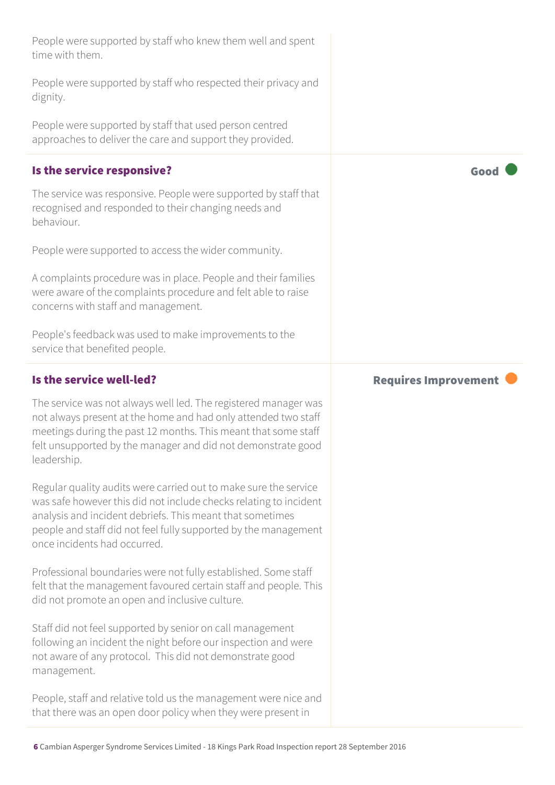| People were supported by staff who knew them well and spent<br>time with them.                                                                                                                                                                                                                        |                             |
|-------------------------------------------------------------------------------------------------------------------------------------------------------------------------------------------------------------------------------------------------------------------------------------------------------|-----------------------------|
| People were supported by staff who respected their privacy and<br>dignity.                                                                                                                                                                                                                            |                             |
| People were supported by staff that used person centred<br>approaches to deliver the care and support they provided.                                                                                                                                                                                  |                             |
| Is the service responsive?                                                                                                                                                                                                                                                                            | Good                        |
| The service was responsive. People were supported by staff that<br>recognised and responded to their changing needs and<br>behaviour.                                                                                                                                                                 |                             |
| People were supported to access the wider community.                                                                                                                                                                                                                                                  |                             |
| A complaints procedure was in place. People and their families<br>were aware of the complaints procedure and felt able to raise<br>concerns with staff and management.                                                                                                                                |                             |
| People's feedback was used to make improvements to the<br>service that benefited people.                                                                                                                                                                                                              |                             |
|                                                                                                                                                                                                                                                                                                       |                             |
| Is the service well-led?                                                                                                                                                                                                                                                                              | <b>Requires Improvement</b> |
| The service was not always well led. The registered manager was<br>not always present at the home and had only attended two staff<br>meetings during the past 12 months. This meant that some staff<br>felt unsupported by the manager and did not demonstrate good<br>leadership.                    |                             |
| Regular quality audits were carried out to make sure the service<br>was safe however this did not include checks relating to incident<br>analysis and incident debriefs. This meant that sometimes<br>people and staff did not feel fully supported by the management<br>once incidents had occurred. |                             |
| Professional boundaries were not fully established. Some staff<br>felt that the management favoured certain staff and people. This<br>did not promote an open and inclusive culture.                                                                                                                  |                             |
| Staff did not feel supported by senior on call management<br>following an incident the night before our inspection and were<br>not aware of any protocol. This did not demonstrate good<br>management.                                                                                                |                             |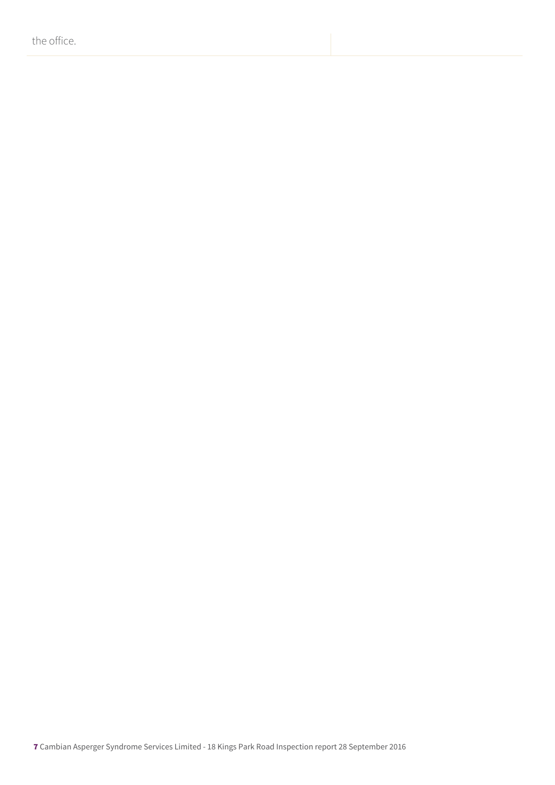the office.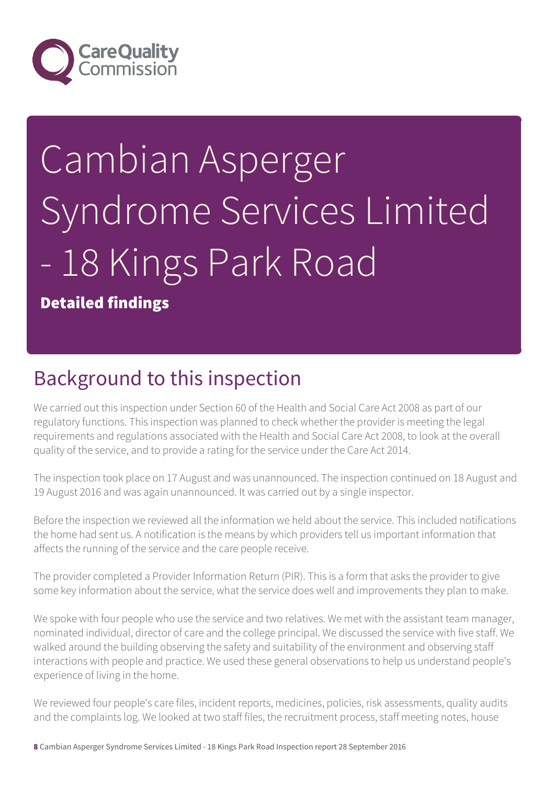

# Cambian Asperger Syndrome Services Limited - 18 Kings Park Road

Detailed findings

### Background to this inspection

We carried out this inspection under Section 60 of the Health and Social Care Act 2008 as part of our regulatory functions. This inspection was planned to check whether the provider is meeting the legal requirements and regulations associated with the Health and Social Care Act 2008, to look at the overall quality of the service, and to provide a rating for the service under the Care Act 2014.

The inspection took place on 17 August and was unannounced. The inspection continued on 18 August and 19 August 2016 and was again unannounced. It was carried out by a single inspector.

Before the inspection we reviewed all the information we held about the service. This included notifications the home had sent us. A notification is the means by which providers tell us important information that affects the running of the service and the care people receive.

The provider completed a Provider Information Return (PIR). This is a form that asks the provider to give some key information about the service, what the service does well and improvements they plan to make.

We spoke with four people who use the service and two relatives. We met with the assistant team manager, nominated individual, director of care and the college principal. We discussed the service with five staff. We walked around the building observing the safety and suitability of the environment and observing staff interactions with people and practice. We used these general observations to help us understand people's experience of living in the home.

We reviewed four people's care files, incident reports, medicines, policies, risk assessments, quality audits and the complaints log. We looked at two staff files, the recruitment process, staff meeting notes, house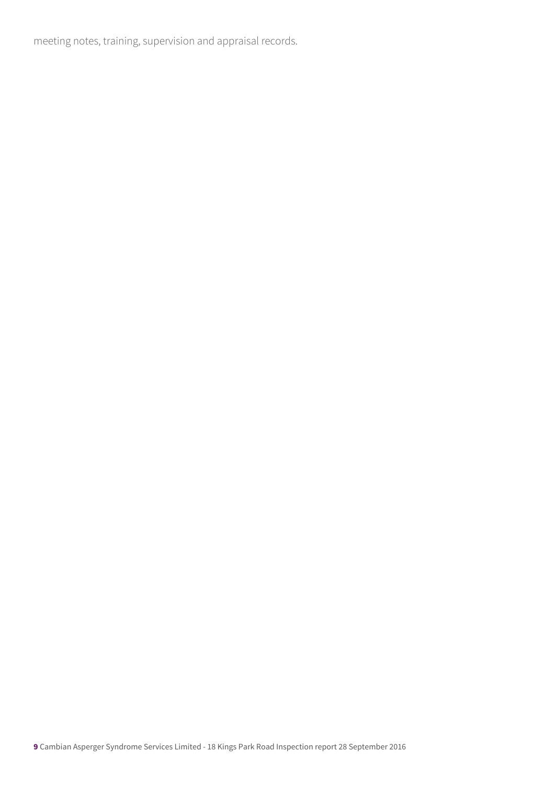meeting notes, training, supervision and appraisal records.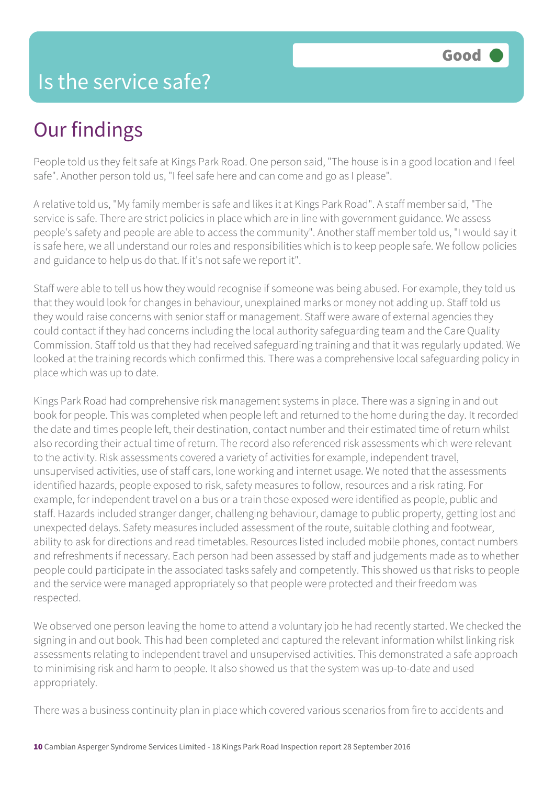### Is the service safe?

## Our findings

People told us they felt safe at Kings Park Road. One person said, "The house is in a good location and I feel safe". Another person told us, "I feel safe here and can come and go as I please".

A relative told us, "My family member is safe and likes it at Kings Park Road". A staff member said, "The service is safe. There are strict policies in place which are in line with government guidance. We assess people's safety and people are able to access the community". Another staff member told us, "I would say it is safe here, we all understand our roles and responsibilities which is to keep people safe. We follow policies and guidance to help us do that. If it's not safe we report it".

Staff were able to tell us how they would recognise if someone was being abused. For example, they told us that they would look for changes in behaviour, unexplained marks or money not adding up. Staff told us they would raise concerns with senior staff or management. Staff were aware of external agencies they could contact if they had concerns including the local authority safeguarding team and the Care Quality Commission. Staff told us that they had received safeguarding training and that it was regularly updated. We looked at the training records which confirmed this. There was a comprehensive local safeguarding policy in place which was up to date.

Kings Park Road had comprehensive risk management systems in place. There was a signing in and out book for people. This was completed when people left and returned to the home during the day. It recorded the date and times people left, their destination, contact number and their estimated time of return whilst also recording their actual time of return. The record also referenced risk assessments which were relevant to the activity. Risk assessments covered a variety of activities for example, independent travel, unsupervised activities, use of staff cars, lone working and internet usage. We noted that the assessments identified hazards, people exposed to risk, safety measures to follow, resources and a risk rating. For example, for independent travel on a bus or a train those exposed were identified as people, public and staff. Hazards included stranger danger, challenging behaviour, damage to public property, getting lost and unexpected delays. Safety measures included assessment of the route, suitable clothing and footwear, ability to ask for directions and read timetables. Resources listed included mobile phones, contact numbers and refreshments if necessary. Each person had been assessed by staff and judgements made as to whether people could participate in the associated tasks safely and competently. This showed us that risks to people and the service were managed appropriately so that people were protected and their freedom was respected.

We observed one person leaving the home to attend a voluntary job he had recently started. We checked the signing in and out book. This had been completed and captured the relevant information whilst linking risk assessments relating to independent travel and unsupervised activities. This demonstrated a safe approach to minimising risk and harm to people. It also showed us that the system was up-to-date and used appropriately.

There was a business continuity plan in place which covered various scenarios from fire to accidents and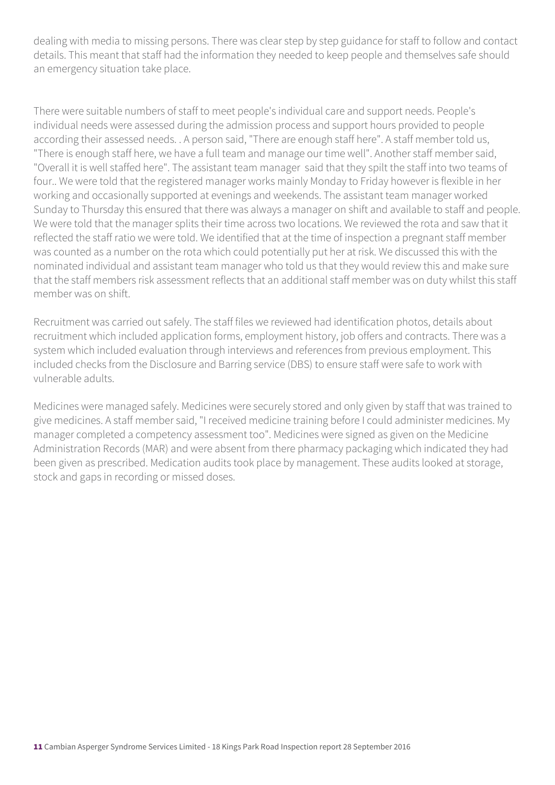dealing with media to missing persons. There was clear step by step guidance for staff to follow and contact details. This meant that staff had the information they needed to keep people and themselves safe should an emergency situation take place.

There were suitable numbers of staff to meet people's individual care and support needs. People's individual needs were assessed during the admission process and support hours provided to people according their assessed needs. . A person said, "There are enough staff here". A staff member told us, "There is enough staff here, we have a full team and manage our time well". Another staff member said, "Overall it is well staffed here". The assistant team manager said that they spilt the staff into two teams of four.. We were told that the registered manager works mainly Monday to Friday however is flexible in her working and occasionally supported at evenings and weekends. The assistant team manager worked Sunday to Thursday this ensured that there was always a manager on shift and available to staff and people. We were told that the manager splits their time across two locations. We reviewed the rota and saw that it reflected the staff ratio we were told. We identified that at the time of inspection a pregnant staff member was counted as a number on the rota which could potentially put her at risk. We discussed this with the nominated individual and assistant team manager who told us that they would review this and make sure that the staff members risk assessment reflects that an additional staff member was on duty whilst this staff member was on shift

Recruitment was carried out safely. The staff files we reviewed had identification photos, details about recruitment which included application forms, employment history, job offers and contracts. There was a system which included evaluation through interviews and references from previous employment. This included checks from the Disclosure and Barring service (DBS) to ensure staff were safe to work with vulnerable adults.

Medicines were managed safely. Medicines were securely stored and only given by staff that was trained to give medicines. A staff member said, "I received medicine training before I could administer medicines. My manager completed a competency assessment too". Medicines were signed as given on the Medicine Administration Records (MAR) and were absent from there pharmacy packaging which indicated they had been given as prescribed. Medication audits took place by management. These audits looked at storage, stock and gaps in recording or missed doses.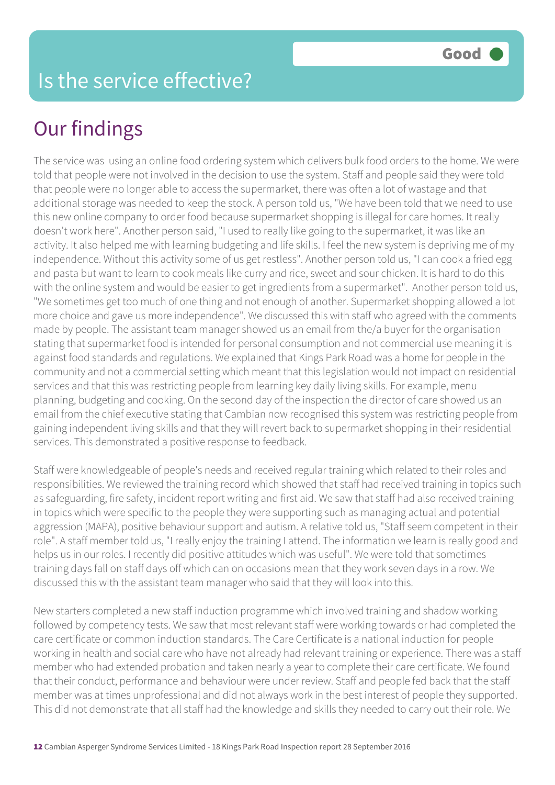# Our findings

The service was using an online food ordering system which delivers bulk food orders to the home. We were told that people were not involved in the decision to use the system. Staff and people said they were told that people were no longer able to access the supermarket, there was often a lot of wastage and that additional storage was needed to keep the stock. A person told us, "We have been told that we need to use this new online company to order food because supermarket shopping is illegal for care homes. It really doesn't work here". Another person said, "I used to really like going to the supermarket, it was like an activity. It also helped me with learning budgeting and life skills. I feel the new system is depriving me of my independence. Without this activity some of us get restless". Another person told us, "I can cook a fried egg and pasta but want to learn to cook meals like curry and rice, sweet and sour chicken. It is hard to do this with the online system and would be easier to get ingredients from a supermarket". Another person told us, "We sometimes get too much of one thing and not enough of another. Supermarket shopping allowed a lot more choice and gave us more independence". We discussed this with staff who agreed with the comments made by people. The assistant team manager showed us an email from the/a buyer for the organisation stating that supermarket food is intended for personal consumption and not commercial use meaning it is against food standards and regulations. We explained that Kings Park Road was a home for people in the community and not a commercial setting which meant that this legislation would not impact on residential services and that this was restricting people from learning key daily living skills. For example, menu planning, budgeting and cooking. On the second day of the inspection the director of care showed us an email from the chief executive stating that Cambian now recognised this system was restricting people from gaining independent living skills and that they will revert back to supermarket shopping in their residential services. This demonstrated a positive response to feedback.

Staff were knowledgeable of people's needs and received regular training which related to their roles and responsibilities. We reviewed the training record which showed that staff had received training in topics such as safeguarding, fire safety, incident report writing and first aid. We saw that staff had also received training in topics which were specific to the people they were supporting such as managing actual and potential aggression (MAPA), positive behaviour support and autism. A relative told us, "Staff seem competent in their role". A staff member told us, "I really enjoy the training I attend. The information we learn is really good and helps us in our roles. I recently did positive attitudes which was useful". We were told that sometimes training days fall on staff days off which can on occasions mean that they work seven days in a row. We discussed this with the assistant team manager who said that they will look into this.

New starters completed a new staff induction programme which involved training and shadow working followed by competency tests. We saw that most relevant staff were working towards or had completed the care certificate or common induction standards. The Care Certificate is a national induction for people working in health and social care who have not already had relevant training or experience. There was a staff member who had extended probation and taken nearly a year to complete their care certificate. We found that their conduct, performance and behaviour were under review. Staff and people fed back that the staff member was at times unprofessional and did not always work in the best interest of people they supported. This did not demonstrate that all staff had the knowledge and skills they needed to carry out their role. We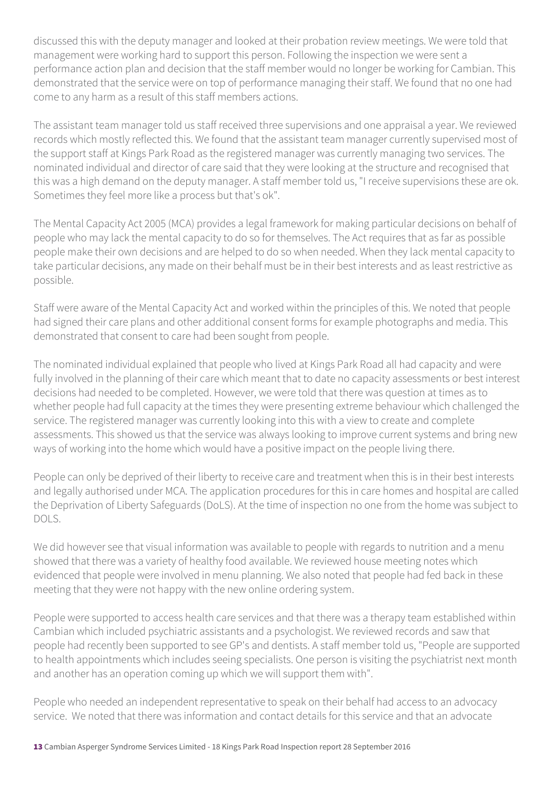discussed this with the deputy manager and looked at their probation review meetings. We were told that management were working hard to support this person. Following the inspection we were sent a performance action plan and decision that the staff member would no longer be working for Cambian. This demonstrated that the service were on top of performance managing their staff. We found that no one had come to any harm as a result of this staff members actions.

The assistant team manager told us staff received three supervisions and one appraisal a year. We reviewed records which mostly reflected this. We found that the assistant team manager currently supervised most of the support staff at Kings Park Road as the registered manager was currently managing two services. The nominated individual and director of care said that they were looking at the structure and recognised that this was a high demand on the deputy manager. A staff member told us, "I receive supervisions these are ok. Sometimes they feel more like a process but that's ok".

The Mental Capacity Act 2005 (MCA) provides a legal framework for making particular decisions on behalf of people who may lack the mental capacity to do so for themselves. The Act requires that as far as possible people make their own decisions and are helped to do so when needed. When they lack mental capacity to take particular decisions, any made on their behalf must be in their best interests and as least restrictive as possible.

Staff were aware of the Mental Capacity Act and worked within the principles of this. We noted that people had signed their care plans and other additional consent forms for example photographs and media. This demonstrated that consent to care had been sought from people.

The nominated individual explained that people who lived at Kings Park Road all had capacity and were fully involved in the planning of their care which meant that to date no capacity assessments or best interest decisions had needed to be completed. However, we were told that there was question at times as to whether people had full capacity at the times they were presenting extreme behaviour which challenged the service. The registered manager was currently looking into this with a view to create and complete assessments. This showed us that the service was always looking to improve current systems and bring new ways of working into the home which would have a positive impact on the people living there.

People can only be deprived of their liberty to receive care and treatment when this is in their best interests and legally authorised under MCA. The application procedures for this in care homes and hospital are called the Deprivation of Liberty Safeguards (DoLS). At the time of inspection no one from the home was subject to DOLS.

We did however see that visual information was available to people with regards to nutrition and a menu showed that there was a variety of healthy food available. We reviewed house meeting notes which evidenced that people were involved in menu planning. We also noted that people had fed back in these meeting that they were not happy with the new online ordering system.

People were supported to access health care services and that there was a therapy team established within Cambian which included psychiatric assistants and a psychologist. We reviewed records and saw that people had recently been supported to see GP's and dentists. A staff member told us, "People are supported to health appointments which includes seeing specialists. One person is visiting the psychiatrist next month and another has an operation coming up which we will support them with".

People who needed an independent representative to speak on their behalf had access to an advocacy service. We noted that there was information and contact details for this service and that an advocate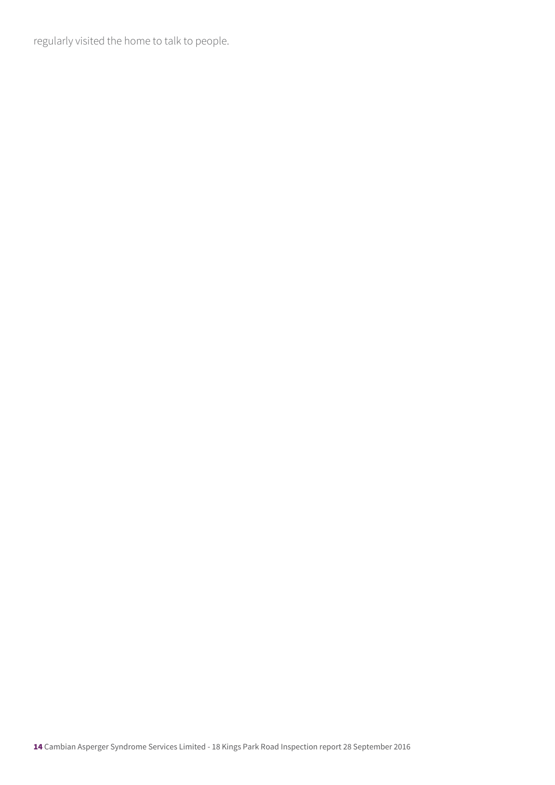regularly visited the home to talk to people.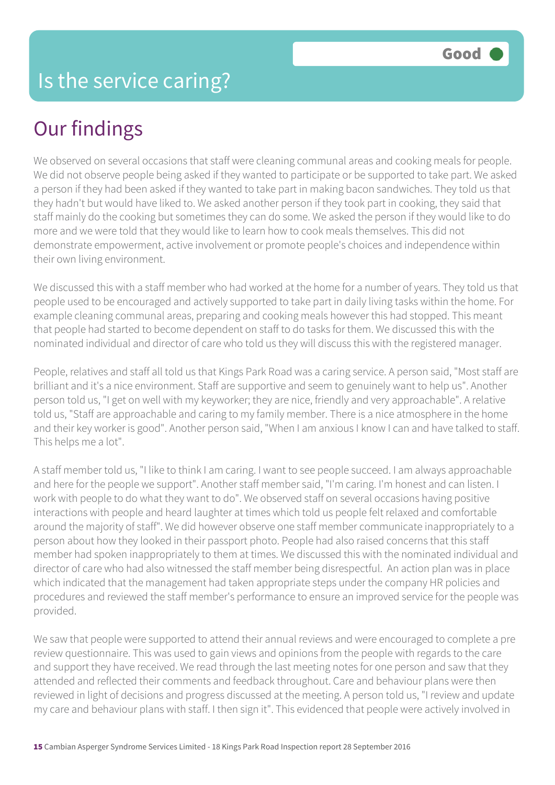# Our findings

We observed on several occasions that staff were cleaning communal areas and cooking meals for people. We did not observe people being asked if they wanted to participate or be supported to take part. We asked a person if they had been asked if they wanted to take part in making bacon sandwiches. They told us that they hadn't but would have liked to. We asked another person if they took part in cooking, they said that staff mainly do the cooking but sometimes they can do some. We asked the person if they would like to do more and we were told that they would like to learn how to cook meals themselves. This did not demonstrate empowerment, active involvement or promote people's choices and independence within their own living environment.

We discussed this with a staff member who had worked at the home for a number of years. They told us that people used to be encouraged and actively supported to take part in daily living tasks within the home. For example cleaning communal areas, preparing and cooking meals however this had stopped. This meant that people had started to become dependent on staff to do tasks for them. We discussed this with the nominated individual and director of care who told us they will discuss this with the registered manager.

People, relatives and staff all told us that Kings Park Road was a caring service. A person said, "Most staff are brilliant and it's a nice environment. Staff are supportive and seem to genuinely want to help us". Another person told us, "I get on well with my keyworker; they are nice, friendly and very approachable". A relative told us, "Staff are approachable and caring to my family member. There is a nice atmosphere in the home and their key worker is good". Another person said, "When I am anxious I know I can and have talked to staff. This helps me a lot".

A staff member told us, "I like to think I am caring. I want to see people succeed. I am always approachable and here for the people we support". Another staff member said, "I'm caring. I'm honest and can listen. I work with people to do what they want to do". We observed staff on several occasions having positive interactions with people and heard laughter at times which told us people felt relaxed and comfortable around the majority of staff". We did however observe one staff member communicate inappropriately to a person about how they looked in their passport photo. People had also raised concerns that this staff member had spoken inappropriately to them at times. We discussed this with the nominated individual and director of care who had also witnessed the staff member being disrespectful. An action plan was in place which indicated that the management had taken appropriate steps under the company HR policies and procedures and reviewed the staff member's performance to ensure an improved service for the people was provided.

We saw that people were supported to attend their annual reviews and were encouraged to complete a pre review questionnaire. This was used to gain views and opinions from the people with regards to the care and support they have received. We read through the last meeting notes for one person and saw that they attended and reflected their comments and feedback throughout. Care and behaviour plans were then reviewed in light of decisions and progress discussed at the meeting. A person told us, "I review and update my care and behaviour plans with staff. I then sign it". This evidenced that people were actively involved in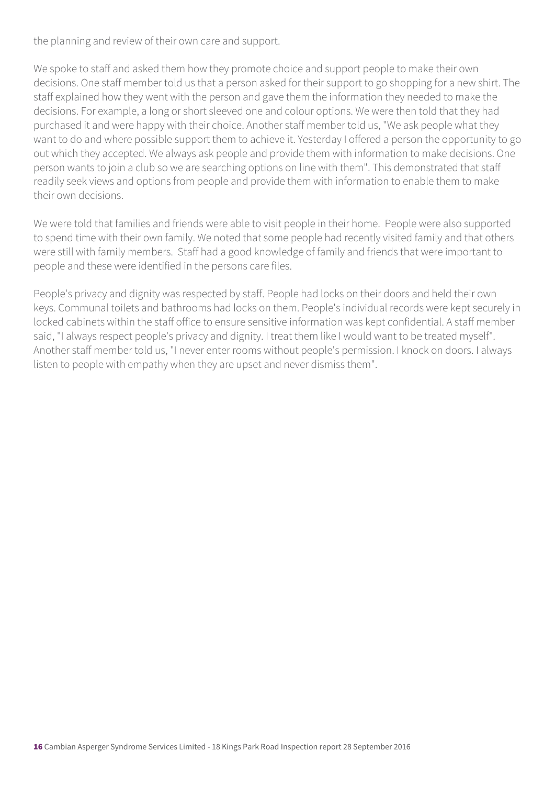the planning and review of their own care and support.

We spoke to staff and asked them how they promote choice and support people to make their own decisions. One staff member told us that a person asked for their support to go shopping for a new shirt. The staff explained how they went with the person and gave them the information they needed to make the decisions. For example, a long or short sleeved one and colour options. We were then told that they had purchased it and were happy with their choice. Another staff member told us, "We ask people what they want to do and where possible support them to achieve it. Yesterday I offered a person the opportunity to go out which they accepted. We always ask people and provide them with information to make decisions. One person wants to join a club so we are searching options on line with them". This demonstrated that staff readily seek views and options from people and provide them with information to enable them to make their own decisions.

We were told that families and friends were able to visit people in their home. People were also supported to spend time with their own family. We noted that some people had recently visited family and that others were still with family members. Staff had a good knowledge of family and friends that were important to people and these were identified in the persons care files.

People's privacy and dignity was respected by staff. People had locks on their doors and held their own keys. Communal toilets and bathrooms had locks on them. People's individual records were kept securely in locked cabinets within the staff office to ensure sensitive information was kept confidential. A staff member said, "I always respect people's privacy and dignity. I treat them like I would want to be treated myself". Another staff member told us, "I never enter rooms without people's permission. I knock on doors. I always listen to people with empathy when they are upset and never dismiss them".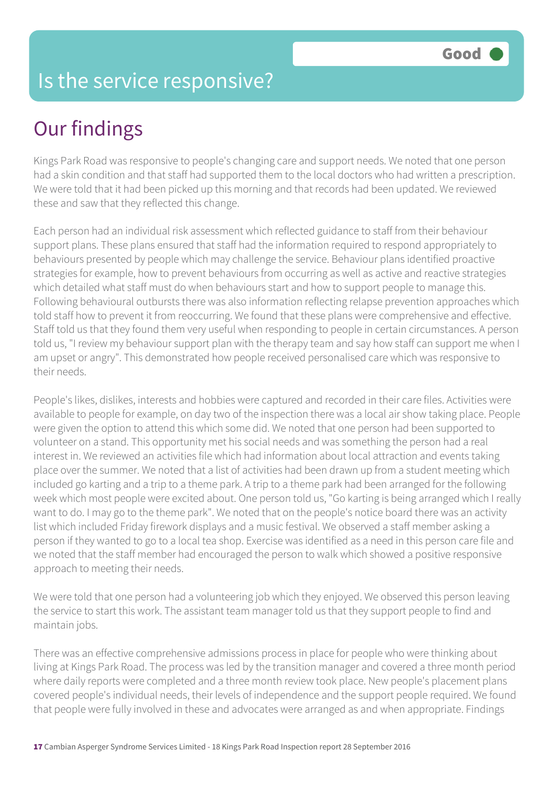### Is the service responsive?

# Our findings

Kings Park Road was responsive to people's changing care and support needs. We noted that one person had a skin condition and that staff had supported them to the local doctors who had written a prescription. We were told that it had been picked up this morning and that records had been updated. We reviewed these and saw that they reflected this change.

Each person had an individual risk assessment which reflected guidance to staff from their behaviour support plans. These plans ensured that staff had the information required to respond appropriately to behaviours presented by people which may challenge the service. Behaviour plans identified proactive strategies for example, how to prevent behaviours from occurring as well as active and reactive strategies which detailed what staff must do when behaviours start and how to support people to manage this. Following behavioural outbursts there was also information reflecting relapse prevention approaches which told staff how to prevent it from reoccurring. We found that these plans were comprehensive and effective. Staff told us that they found them very useful when responding to people in certain circumstances. A person told us, "I review my behaviour support plan with the therapy team and say how staff can support me when I am upset or angry". This demonstrated how people received personalised care which was responsive to their needs.

People's likes, dislikes, interests and hobbies were captured and recorded in their care files. Activities were available to people for example, on day two of the inspection there was a local air show taking place. People were given the option to attend this which some did. We noted that one person had been supported to volunteer on a stand. This opportunity met his social needs and was something the person had a real interest in. We reviewed an activities file which had information about local attraction and events taking place over the summer. We noted that a list of activities had been drawn up from a student meeting which included go karting and a trip to a theme park. A trip to a theme park had been arranged for the following week which most people were excited about. One person told us, "Go karting is being arranged which I really want to do. I may go to the theme park". We noted that on the people's notice board there was an activity list which included Friday firework displays and a music festival. We observed a staff member asking a person if they wanted to go to a local tea shop. Exercise was identified as a need in this person care file and we noted that the staff member had encouraged the person to walk which showed a positive responsive approach to meeting their needs.

We were told that one person had a volunteering job which they enjoyed. We observed this person leaving the service to start this work. The assistant team manager told us that they support people to find and maintain jobs.

There was an effective comprehensive admissions process in place for people who were thinking about living at Kings Park Road. The process was led by the transition manager and covered a three month period where daily reports were completed and a three month review took place. New people's placement plans covered people's individual needs, their levels of independence and the support people required. We found that people were fully involved in these and advocates were arranged as and when appropriate. Findings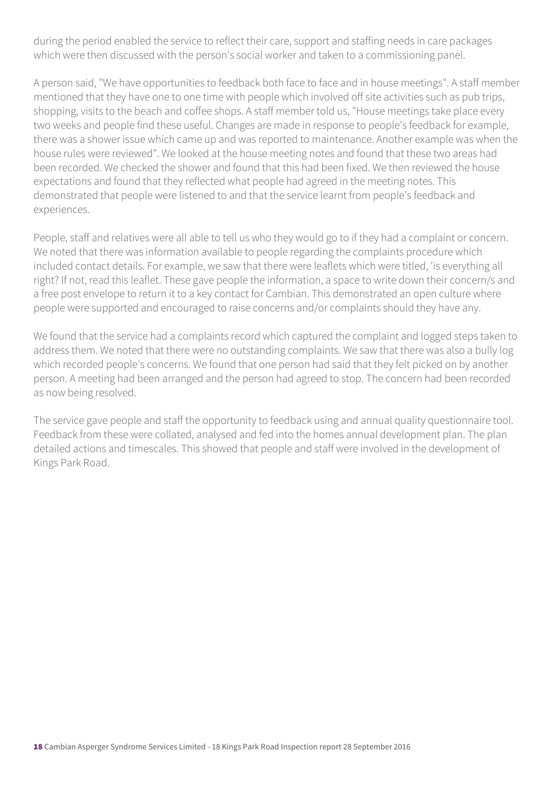during the period enabled the service to reflect their care, support and staffing needs in care packages which were then discussed with the person's social worker and taken to a commissioning panel.

A person said, "We have opportunities to feedback both face to face and in house meetings". A staff member mentioned that they have one to one time with people which involved off site activities such as pub trips, shopping, visits to the beach and coffee shops. A staff member told us, "House meetings take place every two weeks and people find these useful. Changes are made in response to people's feedback for example, there was a shower issue which came up and was reported to maintenance. Another example was when the house rules were reviewed". We looked at the house meeting notes and found that these two areas had been recorded. We checked the shower and found that this had been fixed. We then reviewed the house expectations and found that they reflected what people had agreed in the meeting notes. This demonstrated that people were listened to and that the service learnt from people's feedback and experiences.

People, staff and relatives were all able to tell us who they would go to if they had a complaint or concern. We noted that there was information available to people regarding the complaints procedure which included contact details. For example, we saw that there were leaflets which were titled, 'is everything all right? If not, read this leaflet. These gave people the information, a space to write down their concern/s and a free post envelope to return it to a key contact for Cambian. This demonstrated an open culture where people were supported and encouraged to raise concerns and/or complaints should they have any.

We found that the service had a complaints record which captured the complaint and logged steps taken to address them. We noted that there were no outstanding complaints. We saw that there was also a bully log which recorded people's concerns. We found that one person had said that they felt picked on by another person. A meeting had been arranged and the person had agreed to stop. The concern had been recorded as now being resolved.

The service gave people and staff the opportunity to feedback using and annual quality questionnaire tool. Feedback from these were collated, analysed and fed into the homes annual development plan. The plan detailed actions and timescales. This showed that people and staff were involved in the development of Kings Park Road.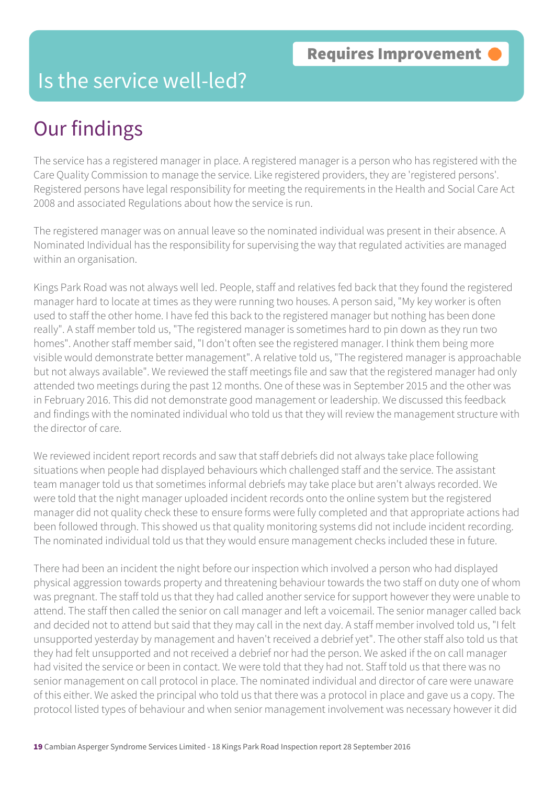### Is the service well-led?

## Our findings

The service has a registered manager in place. A registered manager is a person who has registered with the Care Quality Commission to manage the service. Like registered providers, they are 'registered persons'. Registered persons have legal responsibility for meeting the requirements in the Health and Social Care Act 2008 and associated Regulations about how the service is run.

The registered manager was on annual leave so the nominated individual was present in their absence. A Nominated Individual has the responsibility for supervising the way that regulated activities are managed within an organisation.

Kings Park Road was not always well led. People, staff and relatives fed back that they found the registered manager hard to locate at times as they were running two houses. A person said, "My key worker is often used to staff the other home. I have fed this back to the registered manager but nothing has been done really". A staff member told us, "The registered manager is sometimes hard to pin down as they run two homes". Another staff member said, "I don't often see the registered manager. I think them being more visible would demonstrate better management". A relative told us, "The registered manager is approachable but not always available". We reviewed the staff meetings file and saw that the registered manager had only attended two meetings during the past 12 months. One of these was in September 2015 and the other was in February 2016. This did not demonstrate good management or leadership. We discussed this feedback and findings with the nominated individual who told us that they will review the management structure with the director of care.

We reviewed incident report records and saw that staff debriefs did not always take place following situations when people had displayed behaviours which challenged staff and the service. The assistant team manager told us that sometimes informal debriefs may take place but aren't always recorded. We were told that the night manager uploaded incident records onto the online system but the registered manager did not quality check these to ensure forms were fully completed and that appropriate actions had been followed through. This showed us that quality monitoring systems did not include incident recording. The nominated individual told us that they would ensure management checks included these in future.

There had been an incident the night before our inspection which involved a person who had displayed physical aggression towards property and threatening behaviour towards the two staff on duty one of whom was pregnant. The staff told us that they had called another service for support however they were unable to attend. The staff then called the senior on call manager and left a voicemail. The senior manager called back and decided not to attend but said that they may call in the next day. A staff member involved told us, "I felt unsupported yesterday by management and haven't received a debrief yet". The other staff also told us that they had felt unsupported and not received a debrief nor had the person. We asked if the on call manager had visited the service or been in contact. We were told that they had not. Staff told us that there was no senior management on call protocol in place. The nominated individual and director of care were unaware of this either. We asked the principal who told us that there was a protocol in place and gave us a copy. The protocol listed types of behaviour and when senior management involvement was necessary however it did